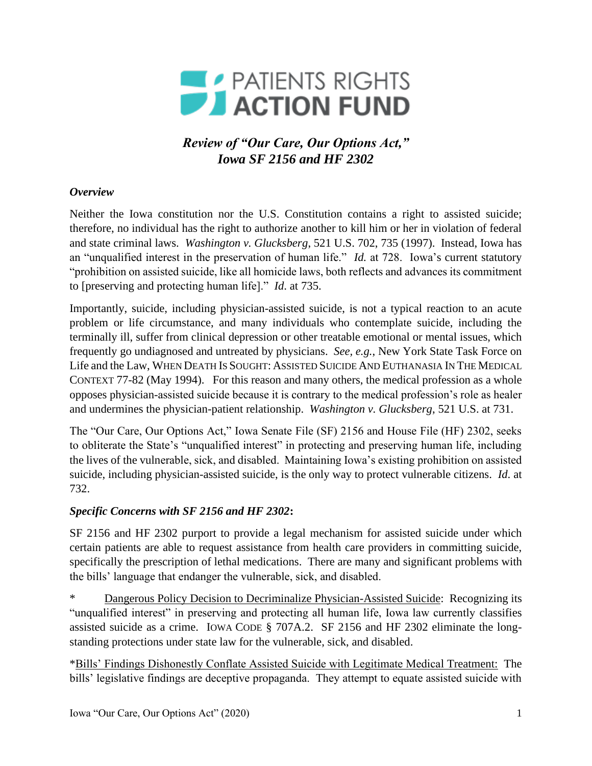

*Review of "Our Care, Our Options Act," Iowa SF 2156 and HF 2302*

## *Overview*

Neither the Iowa constitution nor the U.S. Constitution contains a right to assisted suicide; therefore, no individual has the right to authorize another to kill him or her in violation of federal and state criminal laws. *Washington v. Glucksberg*, 521 U.S. 702, 735 (1997). Instead, Iowa has an "unqualified interest in the preservation of human life." *Id.* at 728. Iowa's current statutory "prohibition on assisted suicide, like all homicide laws, both reflects and advances its commitment to [preserving and protecting human life]." *Id*. at 735.

Importantly, suicide, including physician-assisted suicide, is not a typical reaction to an acute problem or life circumstance, and many individuals who contemplate suicide, including the terminally ill, suffer from clinical depression or other treatable emotional or mental issues, which frequently go undiagnosed and untreated by physicians. *See, e.g.*, New York State Task Force on Life and the Law, WHEN DEATH IS SOUGHT: ASSISTED SUICIDE AND EUTHANASIA IN THE MEDICAL CONTEXT 77-82 (May 1994). For this reason and many others, the medical profession as a whole opposes physician-assisted suicide because it is contrary to the medical profession's role as healer and undermines the physician-patient relationship. *Washington v. Glucksberg*, 521 U.S. at 731.

The "Our Care, Our Options Act," Iowa Senate File (SF) 2156 and House File (HF) 2302, seeks to obliterate the State's "unqualified interest" in protecting and preserving human life, including the lives of the vulnerable, sick, and disabled. Maintaining Iowa's existing prohibition on assisted suicide, including physician-assisted suicide, is the only way to protect vulnerable citizens. *Id*. at 732.

## *Specific Concerns with SF 2156 and HF 2302***:**

SF 2156 and HF 2302 purport to provide a legal mechanism for assisted suicide under which certain patients are able to request assistance from health care providers in committing suicide, specifically the prescription of lethal medications. There are many and significant problems with the bills' language that endanger the vulnerable, sick, and disabled.

Dangerous Policy Decision to Decriminalize Physician-Assisted Suicide: Recognizing its "unqualified interest" in preserving and protecting all human life, Iowa law currently classifies assisted suicide as a crime. IOWA CODE § 707A.2. SF 2156 and HF 2302 eliminate the longstanding protections under state law for the vulnerable, sick, and disabled.

\*Bills' Findings Dishonestly Conflate Assisted Suicide with Legitimate Medical Treatment: The bills' legislative findings are deceptive propaganda. They attempt to equate assisted suicide with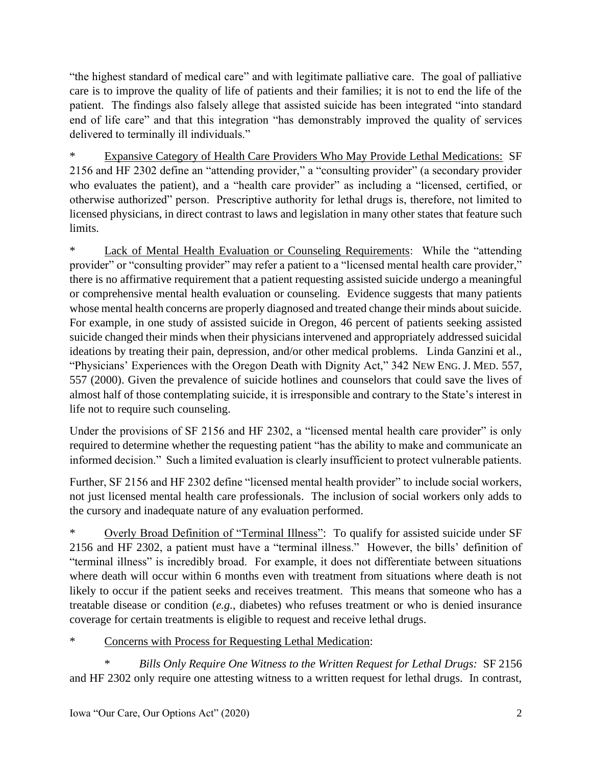"the highest standard of medical care" and with legitimate palliative care. The goal of palliative care is to improve the quality of life of patients and their families; it is not to end the life of the patient. The findings also falsely allege that assisted suicide has been integrated "into standard end of life care" and that this integration "has demonstrably improved the quality of services delivered to terminally ill individuals."

**Expansive Category of Health Care Providers Who May Provide Lethal Medications: SF** 2156 and HF 2302 define an "attending provider," a "consulting provider" (a secondary provider who evaluates the patient), and a "health care provider" as including a "licensed, certified, or otherwise authorized" person. Prescriptive authority for lethal drugs is, therefore, not limited to licensed physicians, in direct contrast to laws and legislation in many other states that feature such limits.

\* Lack of Mental Health Evaluation or Counseling Requirements: While the "attending provider" or "consulting provider" may refer a patient to a "licensed mental health care provider," there is no affirmative requirement that a patient requesting assisted suicide undergo a meaningful or comprehensive mental health evaluation or counseling. Evidence suggests that many patients whose mental health concerns are properly diagnosed and treated change their minds about suicide. For example, in one study of assisted suicide in Oregon, 46 percent of patients seeking assisted suicide changed their minds when their physicians intervened and appropriately addressed suicidal ideations by treating their pain, depression, and/or other medical problems. Linda Ganzini et al., "Physicians' Experiences with the Oregon Death with Dignity Act," 342 NEW ENG. J. MED. 557, 557 (2000). Given the prevalence of suicide hotlines and counselors that could save the lives of almost half of those contemplating suicide, it is irresponsible and contrary to the State's interest in life not to require such counseling.

Under the provisions of SF 2156 and HF 2302, a "licensed mental health care provider" is only required to determine whether the requesting patient "has the ability to make and communicate an informed decision." Such a limited evaluation is clearly insufficient to protect vulnerable patients.

Further, SF 2156 and HF 2302 define "licensed mental health provider" to include social workers, not just licensed mental health care professionals. The inclusion of social workers only adds to the cursory and inadequate nature of any evaluation performed.

Overly Broad Definition of "Terminal Illness": To qualify for assisted suicide under SF 2156 and HF 2302, a patient must have a "terminal illness." However, the bills' definition of "terminal illness" is incredibly broad. For example, it does not differentiate between situations where death will occur within 6 months even with treatment from situations where death is not likely to occur if the patient seeks and receives treatment. This means that someone who has a treatable disease or condition (*e.g.*, diabetes) who refuses treatment or who is denied insurance coverage for certain treatments is eligible to request and receive lethal drugs.

## \* Concerns with Process for Requesting Lethal Medication:

\* *Bills Only Require One Witness to the Written Request for Lethal Drugs:* SF 2156 and HF 2302 only require one attesting witness to a written request for lethal drugs. In contrast,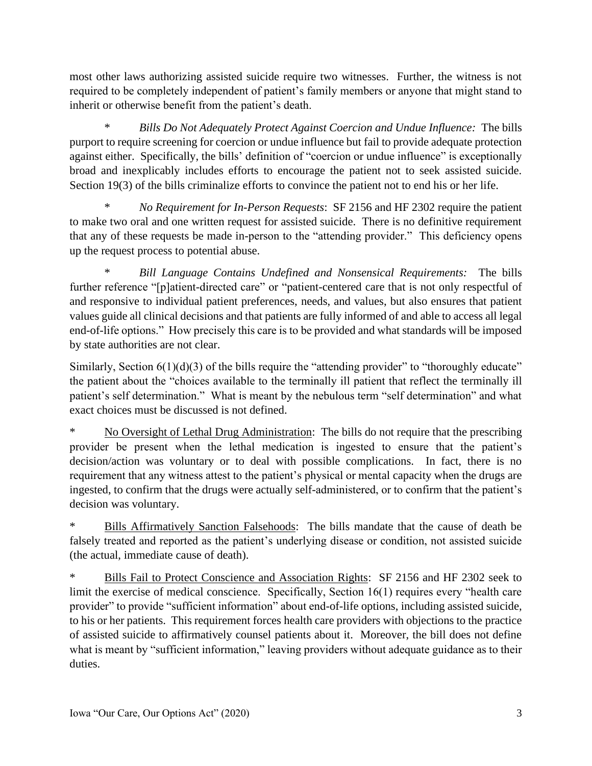most other laws authorizing assisted suicide require two witnesses. Further, the witness is not required to be completely independent of patient's family members or anyone that might stand to inherit or otherwise benefit from the patient's death.

\* *Bills Do Not Adequately Protect Against Coercion and Undue Influence:* The bills purport to require screening for coercion or undue influence but fail to provide adequate protection against either. Specifically, the bills' definition of "coercion or undue influence" is exceptionally broad and inexplicably includes efforts to encourage the patient not to seek assisted suicide. Section 19(3) of the bills criminalize efforts to convince the patient not to end his or her life.

\* *No Requirement for In-Person Requests*: SF 2156 and HF 2302 require the patient to make two oral and one written request for assisted suicide. There is no definitive requirement that any of these requests be made in-person to the "attending provider." This deficiency opens up the request process to potential abuse.

\* *Bill Language Contains Undefined and Nonsensical Requirements:* The bills further reference "[p]atient-directed care" or "patient-centered care that is not only respectful of and responsive to individual patient preferences, needs, and values, but also ensures that patient values guide all clinical decisions and that patients are fully informed of and able to access all legal end-of-life options." How precisely this care is to be provided and what standards will be imposed by state authorities are not clear.

Similarly, Section  $6(1)(d)(3)$  of the bills require the "attending provider" to "thoroughly educate" the patient about the "choices available to the terminally ill patient that reflect the terminally ill patient's self determination." What is meant by the nebulous term "self determination" and what exact choices must be discussed is not defined.

No Oversight of Lethal Drug Administration: The bills do not require that the prescribing provider be present when the lethal medication is ingested to ensure that the patient's decision/action was voluntary or to deal with possible complications. In fact, there is no requirement that any witness attest to the patient's physical or mental capacity when the drugs are ingested, to confirm that the drugs were actually self-administered, or to confirm that the patient's decision was voluntary.

Bills Affirmatively Sanction Falsehoods: The bills mandate that the cause of death be falsely treated and reported as the patient's underlying disease or condition, not assisted suicide (the actual, immediate cause of death).

Bills Fail to Protect Conscience and Association Rights: SF 2156 and HF 2302 seek to limit the exercise of medical conscience. Specifically, Section 16(1) requires every "health care provider" to provide "sufficient information" about end-of-life options, including assisted suicide, to his or her patients. This requirement forces health care providers with objections to the practice of assisted suicide to affirmatively counsel patients about it. Moreover, the bill does not define what is meant by "sufficient information," leaving providers without adequate guidance as to their duties.